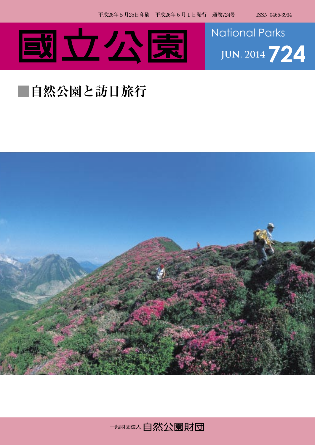



## **■自然公園と訪日旅行**